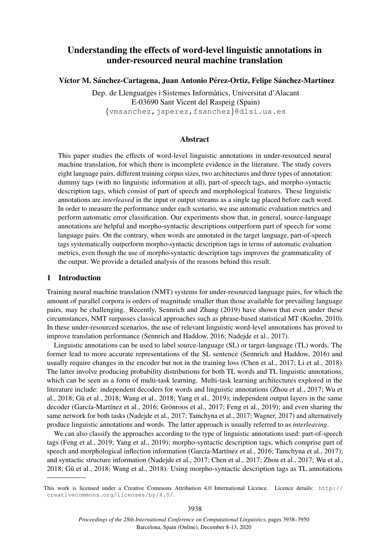# Understanding the effects of word-level linguistic annotations in under-resourced neural machine translation

Víctor M. Sánchez-Cartagena, Juan Antonio Pérez-Ortiz, Felipe Sánchez-Martínez

Dep. de Llenguatges i Sistemes Informatics, Universitat d'Alacant ` E-03690 Sant Vicent del Raspeig (Spain)

{vmsanchez,japerez,fsanchez}@dlsi.ua.es

### Abstract

This paper studies the effects of word-level linguistic annotations in under-resourced neural machine translation, for which there is incomplete evidence in the literature. The study covers eight language pairs, different training corpus sizes, two architectures and three types of annotation: dummy tags (with no linguistic information at all), part-of-speech tags, and morpho-syntactic description tags, which consist of part of speech and morphological features. These linguistic annotations are *interleaved* in the input or output streams as a single tag placed before each word. In order to measure the performance under each scenario, we use automatic evaluation metrics and perform automatic error classification. Our experiments show that, in general, source-language annotations are helpful and morpho-syntactic descriptions outperform part of speech for some language pairs. On the contrary, when words are annotated in the target language, part-of-speech tags systematically outperform morpho-syntactic description tags in terms of automatic evaluation metrics, even though the use of morpho-syntactic description tags improves the grammaticality of the output. We provide a detailed analysis of the reasons behind this result.

#### 1 Introduction

Training neural machine translation (NMT) systems for under-resourced language pairs, for which the amount of parallel corpora is orders of magnitude smaller than those available for prevailing language pairs, may be challenging. Recently, Sennrich and Zhang (2019) have shown that even under these circumstances, NMT surpasses classical approaches such as phrase-based statistical MT (Koehn, 2010). In these under-resourced scenarios, the use of relevant linguistic word-level annotations has proved to improve translation performance (Sennrich and Haddow, 2016; Nadejde et al., 2017).

Linguistic annotations can be used to label source-language (SL) or target-language (TL) words. The former lead to more accurate representations of the SL sentence (Sennrich and Haddow, 2016) and usually require changes in the encoder but not in the training loss (Chen et al., 2017; Li et al., 2018). The latter involve producing probability distributions for both TL words and TL linguistic annotations, which can be seen as a form of multi-task learning. Multi-task learning architectures explored in the literature include: independent decoders for words and linguistic annotations (Zhou et al., 2017; Wu et al., 2018; Gū et al., 2018; Wang et al., 2018; Yang et al., 2019); independent output layers in the same decoder (García-Martínez et al., 2016; Grönroos et al., 2017; Feng et al., 2019); and even sharing the same network for both tasks (Nadejde et al., 2017; Tamchyna et al., 2017; Wagner, 2017) and alternatively produce linguistic annotations and words. The latter approach is usually referred to as *interleaving*.

We can also classify the approaches according to the type of linguistic annotations used: part-of-speech tags (Feng et al., 2019; Yang et al., 2019); morpho-syntactic description tags, which comprise part of speech and morphological inflection information (García-Martínez et al., 2016; Tamchyna et al., 2017); and syntactic structure information (Nadejde et al., 2017; Chen et al., 2017; Zhou et al., 2017; Wu et al., 2018; Gu et al., 2018; Wang et al., 2018). Using morpho-syntactic description tags as TL annotations ¯

This work is licensed under a Creative Commons Attribution 4.0 International Licence. Licence details: http:// creativecommons.org/licenses/by/4.0/.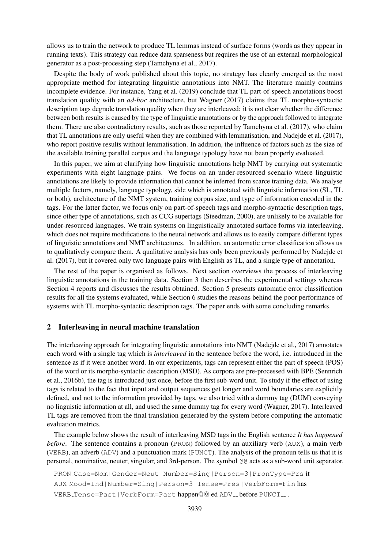allows us to train the network to produce TL lemmas instead of surface forms (words as they appear in running texts). This strategy can reduce data sparseness but requires the use of an external morphological generator as a post-processing step (Tamchyna et al., 2017).

Despite the body of work published about this topic, no strategy has clearly emerged as the most appropriate method for integrating linguistic annotations into NMT. The literature mainly contains incomplete evidence. For instance, Yang et al. (2019) conclude that TL part-of-speech annotations boost translation quality with an *ad-hoc* architecture, but Wagner (2017) claims that TL morpho-syntactic description tags degrade translation quality when they are interleaved: it is not clear whether the difference between both results is caused by the type of linguistic annotations or by the approach followed to integrate them. There are also contradictory results, such as those reported by Tamchyna et al. (2017), who claim that TL annotations are only useful when they are combined with lemmatisation, and Nadejde et al. (2017), who report positive results without lemmatisation. In addition, the influence of factors such as the size of the available training parallel corpus and the language typology have not been properly evaluated.

In this paper, we aim at clarifying how linguistic annotations help NMT by carrying out systematic experiments with eight language pairs. We focus on an under-resourced scenario where linguistic annotations are likely to provide information that cannot be inferred from scarce training data. We analyse multiple factors, namely, language typology, side which is annotated with linguistic information (SL, TL or both), architecture of the NMT system, training corpus size, and type of information encoded in the tags. For the latter factor, we focus only on part-of-speech tags and morpho-syntactic description tags, since other type of annotations, such as CCG supertags (Steedman, 2000), are unlikely to be available for under-resourced languages. We train systems on linguistically annotated surface forms via interleaving, which does not require modifications to the neural network and allows us to easily compare different types of linguistic annotations and NMT architectures. In addition, an automatic error classification allows us to qualitatively compare them. A qualitative analysis has only been previously performed by Nadejde et al. (2017), but it covered only two language pairs with English as TL, and a single type of annotation.

The rest of the paper is organised as follows. Next section overviews the process of interleaving linguistic annotations in the training data. Section 3 then describes the experimental settings whereas Section 4 reports and discusses the results obtained. Section 5 presents automatic error classification results for all the systems evaluated, while Section 6 studies the reasons behind the poor performance of systems with TL morpho-syntactic description tags. The paper ends with some concluding remarks.

#### 2 Interleaving in neural machine translation

The interleaving approach for integrating linguistic annotations into NMT (Nadejde et al., 2017) annotates each word with a single tag which is *interleaved* in the sentence before the word, i.e. introduced in the sentence as if it were another word. In our experiments, tags can represent either the part of speech (POS) of the word or its morpho-syntactic description (MSD). As corpora are pre-processed with BPE (Sennrich et al., 2016b), the tag is introduced just once, before the first sub-word unit. To study if the effect of using tags is related to the fact that input and output sequences get longer and word boundaries are explicitly defined, and not to the information provided by tags, we also tried with a dummy tag (DUM) conveying no linguistic information at all, and used the same dummy tag for every word (Wagner, 2017). Interleaved TL tags are removed from the final translation generated by the system before computing the automatic evaluation metrics.

The example below shows the result of interleaving MSD tags in the English sentence *It has happened before*. The sentence contains a pronoun (PRON) followed by an auxiliary verb (AUX), a main verb (VERB), an adverb (ADV) and a punctuation mark (PUNCT). The analysis of the pronoun tells us that it is personal, nominative, neuter, singular, and 3rd-person. The symbol @@ acts as a sub-word unit separator.

```
PRON Case=Nom|Gender=Neut|Number=Sing|Person=3|PronType=Prs it
AUX Mood=Ind|Number=Sing|Person=3|Tense=Pres|VerbForm=Fin has
VERB Tense=Past|VerbForm=Part happen@@ ed ADV _ before PUNCT __.
```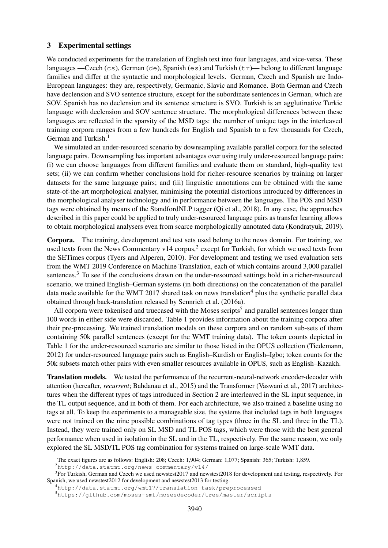#### 3 Experimental settings

We conducted experiments for the translation of English text into four languages, and vice-versa. These languages —Czech (cs), German (de), Spanish (es) and Turkish  $(\pm r)$ — belong to different language families and differ at the syntactic and morphological levels. German, Czech and Spanish are Indo-European languages: they are, respectively, Germanic, Slavic and Romance. Both German and Czech have declension and SVO sentence structure, except for the subordinate sentences in German, which are SOV. Spanish has no declension and its sentence structure is SVO. Turkish is an agglutinative Turkic language with declension and SOV sentence structure. The morphological differences between these languages are reflected in the sparsity of the MSD tags: the number of unique tags in the interleaved training corpora ranges from a few hundreds for English and Spanish to a few thousands for Czech, German and Turkish.<sup>1</sup>

We simulated an under-resourced scenario by downsampling available parallel corpora for the selected language pairs. Downsampling has important advantages over using truly under-resourced language pairs: (i) we can choose languages from different families and evaluate them on standard, high-quality test sets; (ii) we can confirm whether conclusions hold for richer-resource scenarios by training on larger datasets for the same language pairs; and (iii) linguistic annotations can be obtained with the same state-of-the-art morphological analyser, minimising the potential distortions introduced by differences in the morphological analyser technology and in performance between the languages. The POS and MSD tags were obtained by means of the StandfordNLP tagger (Qi et al., 2018). In any case, the approaches described in this paper could be applied to truly under-resourced language pairs as transfer learning allows to obtain morphological analysers even from scarce morphologically annotated data (Kondratyuk, 2019).

Corpora. The training, development and test sets used belong to the news domain. For training, we used texts from the News Commentary v14 corpus,<sup>2</sup> except for Turkish, for which we used texts from the SETimes corpus (Tyers and Alperen, 2010). For development and testing we used evaluation sets from the WMT 2019 Conference on Machine Translation, each of which contains around 3,000 parallel sentences.<sup>3</sup> To see if the conclusions drawn on the under-resourced settings hold in a richer-resourced scenario, we trained English–German systems (in both directions) on the concatenation of the parallel data made available for the WMT 2017 shared task on news translation<sup>4</sup> plus the synthetic parallel data obtained through back-translation released by Sennrich et al. (2016a).

All corpora were tokenised and truecased with the Moses scripts<sup>5</sup> and parallel sentences longer than 100 words in either side were discarded. Table 1 provides information about the training corpora after their pre-processing. We trained translation models on these corpora and on random sub-sets of them containing 50k parallel sentences (except for the WMT training data). The token counts depicted in Table 1 for the under-resourced scenario are similar to those listed in the OPUS collection (Tiedemann, 2012) for under-resourced language pairs such as English–Kurdish or English–Igbo; token counts for the 50k subsets match other pairs with even smaller resources available in OPUS, such as English–Kazakh.

Translation models. We tested the performance of the recurrent-neural-network encoder-decoder with attention (hereafter, *recurrent*; Bahdanau et al., 2015) and the Transformer (Vaswani et al., 2017) architectures when the different types of tags introduced in Section 2 are interleaved in the SL input sequence, in the TL output sequence, and in both of them. For each architecture, we also trained a baseline using no tags at all. To keep the experiments to a manageable size, the systems that included tags in both languages were not trained on the nine possible combinations of tag types (three in the SL and three in the TL). Instead, they were trained only on SL MSD and TL POS tags, which were those with the best general performance when used in isolation in the SL and in the TL, respectively. For the same reason, we only explored the SL MSD/TL POS tag combination for systems trained on large-scale WMT data.

<sup>&</sup>lt;sup>1</sup>The exact figures are as follows: English: 208; Czech: 1,904; German: 1,077; Spanish: 365; Turkish: 1,859.

<sup>2</sup>http://data.statmt.org/news-commentary/v14/

<sup>&</sup>lt;sup>3</sup>For Turkish, German and Czech we used newstest2017 and newstest2018 for development and testing, respectively. For Spanish, we used newstest2012 for development and newstest2013 for testing.

<sup>4</sup>http://data.statmt.org/wmt17/translation-task/preprocessed

<sup>5</sup>https://github.com/moses-smt/mosesdecoder/tree/master/scripts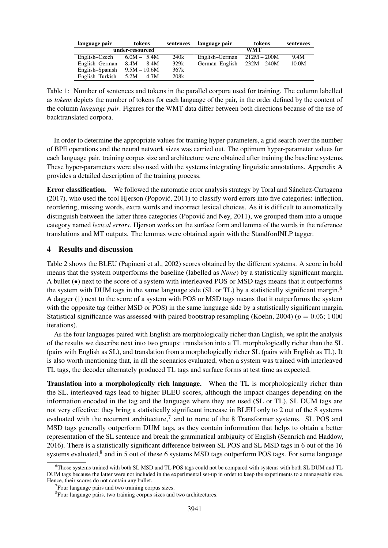| language pair   | tokens          | sentences | language pair  | tokens        | sentences |
|-----------------|-----------------|-----------|----------------|---------------|-----------|
|                 | under-resourced |           | <b>WMT</b>     |               |           |
| English–Czech   | $6.0M - 5.4M$   | 240k      | English–German | $212M - 200M$ | 9.4M      |
| English-German  | $8.4M - 8.4M$   | 329k      | German-English | $232M - 240M$ | 10.0M     |
| English-Spanish | $9.5M - 10.6M$  | 367k      |                |               |           |
| English–Turkish | $5.2M - 4.7M$   | 208k      |                |               |           |

Table 1: Number of sentences and tokens in the parallel corpora used for training. The column labelled as *tokens* depicts the number of tokens for each language of the pair, in the order defined by the content of the column *language pair*. Figures for the WMT data differ between both directions because of the use of backtranslated corpora.

In order to determine the appropriate values for training hyper-parameters, a grid search over the number of BPE operations and the neural network sizes was carried out. The optimum hyper-parameter values for each language pair, training corpus size and architecture were obtained after training the baseline systems. These hyper-parameters were also used with the systems integrating linguistic annotations. Appendix A provides a detailed description of the training process.

Error classification. We followed the automatic error analysis strategy by Toral and Sanchez-Cartagena ´ (2017), who used the tool Hjerson (Popovic, 2011) to classify word errors into five categories: inflection, ´ reordering, missing words, extra words and incorrect lexical choices. As it is difficult to automatically distinguish between the latter three categories (Popović and Ney, 2011), we grouped them into a unique category named *lexical errors*. Hjerson works on the surface form and lemma of the words in the reference translations and MT outputs. The lemmas were obtained again with the StandfordNLP tagger.

## 4 Results and discussion

Table 2 shows the BLEU (Papineni et al., 2002) scores obtained by the different systems. A score in bold means that the system outperforms the baseline (labelled as *None*) by a statistically significant margin. A bullet (•) next to the score of a system with interleaved POS or MSD tags means that it outperforms the system with DUM tags in the same language side (SL or TL) by a statistically significant margin.<sup>6</sup> A dagger (†) next to the score of a system with POS or MSD tags means that it outperforms the system with the opposite tag (either MSD or POS) in the same language side by a statistically significant margin. Statistical significance was assessed with paired bootstrap resampling (Koehn, 2004) ( $p = 0.05$ ; 1000 iterations).

As the four languages paired with English are morphologically richer than English, we split the analysis of the results we describe next into two groups: translation into a TL morphologically richer than the SL (pairs with English as SL), and translation from a morphologically richer SL (pairs with English as TL). It is also worth mentioning that, in all the scenarios evaluated, when a system was trained with interleaved TL tags, the decoder alternately produced TL tags and surface forms at test time as expected.

Translation into a morphologically rich language. When the TL is morphologically richer than the SL, interleaved tags lead to higher BLEU scores, although the impact changes depending on the information encoded in the tag and the language where they are used (SL or TL). SL DUM tags are not very effective: they bring a statistically significant increase in BLEU only to 2 out of the 8 systems evaluated with the recurrent architecture,<sup>7</sup> and to none of the 8 Transformer systems. SL POS and MSD tags generally outperform DUM tags, as they contain information that helps to obtain a better representation of the SL sentence and break the grammatical ambiguity of English (Sennrich and Haddow, 2016). There is a statistically significant difference between SL POS and SL MSD tags in 6 out of the 16 systems evaluated,<sup>8</sup> and in 5 out of these 6 systems MSD tags outperform POS tags. For some language

 $6$ Those systems trained with both SL MSD and TL POS tags could not be compared with systems with both SL DUM and TL DUM tags because the latter were not included in the experimental set-up in order to keep the experiments to a manageable size. Hence, their scores do not contain any bullet.

<sup>&</sup>lt;sup>7</sup> Four language pairs and two training corpus sizes.

<sup>&</sup>lt;sup>8</sup> Four language pairs, two training corpus sizes and two architectures.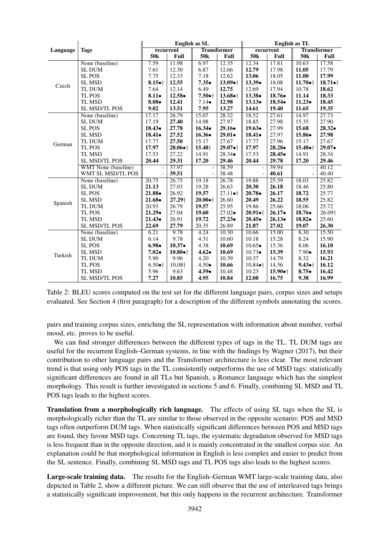|          |                      | <b>English as SL</b> |                              |                    |                              | <b>English as TL</b> |                   |                    |                   |
|----------|----------------------|----------------------|------------------------------|--------------------|------------------------------|----------------------|-------------------|--------------------|-------------------|
| Language | <b>Tags</b>          | recurrent            |                              | <b>Transformer</b> |                              | recurrent            |                   | <b>Transformer</b> |                   |
|          |                      | 50 <sub>k</sub>      | Full                         | 50 <sub>k</sub>    | Full                         | 50 <sub>k</sub>      | Full              | 50 <sub>k</sub>    | Full              |
| Czech    | None (baseline)      | 7.59                 | 11.98                        | 6.97               | 12.35                        | 12.34                | 17.81             | 10.63              | 17.58             |
|          | <b>SL DUM</b>        | 7.61                 | 12.30                        | 6.87               | 12.66                        | 12.79                | 17.98             | 11.05              | 17.79             |
|          | <b>SL POS</b>        | 7.75                 | 12.33                        | 7.18               | 12.62                        | 13.06                | 18.05             | 11.00              | 17.99             |
|          | <b>SL MSD</b>        | $8.15 \bullet +$     | 12.55                        | $7.35 \bullet$     | $13.09 \bullet$ <sup>+</sup> | $13.39\bullet$       | 18.08             | $11.70 \bullet$ †  | $18.71 \bullet$ † |
|          | TL DUM               | 7.64                 | 12.14                        | 6.49               | 12.75                        | 12.69                | 17.94             | 10.78              | 18.62             |
|          | TL POS               | $8.11\bullet$        | 12.58•                       | $7.50 \bullet$ †   | $13.68 \bullet$ †            | $13.38 \bullet$      | $18.76\bullet$    | 11.14              | 18.33             |
|          | TL MSD               | $8.08\bullet$        | 12.41                        | $7.14\bullet$      | 12.98                        | $13.13\bullet$       | $18.54\bullet$    | $11.23\bullet$     | 18.45             |
|          | <b>SL MSD/TL POS</b> | 9.02                 | 13.51                        | 7.95               | 13.27                        | 14.61                | 19.40             | 11.65              | 19.35             |
|          | None (baseline)      | 17.17                | 26.79                        | 15.07              | 28.32                        | 18.52                | 27.61             | 14.97              | 27.73             |
|          | <b>SL DUM</b>        | 17.19                | 27.40                        | 14.98              | 27.97                        | 18.85                | 27.98             | 15.35              | 27.90             |
|          | <b>SL POS</b>        | $18.43\bullet$       | 27.78                        | $16.34\bullet$     | $29.16\bullet$               | $19.63\bullet$       | 27.99             | 15.68              | $28.32\bullet$    |
|          | <b>SL MSD</b>        | $18.41 \bullet$      | 27.52                        | $16.36\bullet$     | $29.01 \bullet$              | $18.41 \bullet$      | 27.97             | $15.86\bullet$     | 27.98             |
| German   | TL DUM               | 17.77                | 27.50                        | 15.17              | 27.67                        | 17.77                | 27.96             | 15.17              | 27.67             |
|          | TL POS               | 17.97                | $28.06 \bullet$ †            | 15.48 <sup>+</sup> | $29.07 \bullet$ <sup>+</sup> | 17.97                | $28.28\bullet$    | $15.48 \bullet$    | $29.07 \bullet$   |
|          | <b>TL MSD</b>        | 17.53                | 27.22                        | 14.91              | $28.34\bullet$               | 17.53                | $28.45\bullet$    | 14.91              | 28.34             |
|          | <b>SL MSD/TL POS</b> | 20.44                | 29.31                        | 17.20              | 29.46                        | 20.44                | 29.78             | 17.20              | 29.46             |
|          | WMT None (baseline)  | $\qquad \qquad \Box$ | 37.97                        |                    | 38.59                        |                      | 39.94             |                    | 40.12             |
|          | WMT SL MSD/TL POS    |                      | 39.51                        |                    | 38.48                        |                      | 40.61             |                    | 40.40             |
|          | None (baseline)      | 20.75                | 26.75                        | 19.18              | 26.78                        | 19.88                | 25.59             | 18.03              | 25.82             |
|          | <b>SL DUM</b>        | 21.13                | 27.03                        | 19.28              | 26.63                        | 20.30                | 26.18             | 18.46              | 25.80             |
|          | <b>SL POS</b>        | $21.88 \bullet$      | 26.92                        | 19.57              | $27.11 \bullet$              | $20.78\bullet$       | 26.17             | 18.72              | 25.77             |
| Spanish  | <b>SL MSD</b>        | $21.68 \bullet$      | 27.29+                       | $20.00 \bullet$ †  | 26.60                        | 20.49                | 26.22             | 18.55              | 25.82             |
|          | TL DUM               | 20.93                | 26.79                        | 19.57              | 25.95                        | 19.86                | 25.66             | 18.06              | 25.72             |
|          | TL POS               | $21.29\bullet$       | 27.04                        | 19.60              | $27.02 \bullet$              | $20.91 \bullet$ †    | $26.17\bullet$    | $18.76\bullet$     | 26.09+            |
|          | <b>TL MSD</b>        | $21.43\bullet$       | 26.91                        | 19.72              | $27.23\bullet$               | $20.45\bullet$       | $26.13\bullet$    | $18.82 \bullet$    | 25.60             |
|          | <b>SL MSD/TL POS</b> | 22.69                | 27.79                        | 20.35              | 26.89                        | 21.87                | 27.02             | 19.07              | 26.30             |
| Turkish  | None (baseline)      | 6.21                 | 9.78                         | 4.24               | 10.30                        | 10.66                | 15.00             | 8.30               | 15.50             |
|          | <b>SL DUM</b>        | 6.14                 | 9.78                         | 4.31               | 10.60                        | 10.18                | 15.28             | 8.24               | 15.90             |
|          | <b>SL POS</b>        | $6.98\bullet$        | $10.37\bullet$               | 4.38               | 10.69                        | $10.65\bullet$       | 15.36             | 8.06               | 16.10             |
|          | <b>SL MSD</b>        | $7.02 \bullet$       | $10.80 \bullet$ <sup>+</sup> | $4.62 \bullet$     | 10.69                        | $10.73\bullet$       | 15.39             | $7.90\bullet$      | 15.93             |
|          | TL DUM               | 5.90                 | 9.96                         | 4.20               | 10.39                        | 10.37                | 14.79             | 8.32               | 16.21             |
|          | TL POS               | $6.50 \bullet$ †     | 10.08+                       | $4.50\bullet$      | 10.66                        | $10.84 \bullet$ †    | 14.56             | $9.43 \bullet +$   | 16.12             |
|          | TL MSD               | 5.96                 | 9.63                         | $4.59 \bullet$     | 10.48                        | 10.23                | $15.90 \bullet$ † | $8.75 -$           | 16.42             |
|          | <b>SL MSD/TL POS</b> | 7.27                 | 10.85                        | 4.95               | 10.84                        | 12.08                | 16.75             | 9.38               | 16.99             |

Table 2: BLEU scores computed on the test set for the different language pairs, corpus sizes and setups evaluated. See Section 4 (first paragraph) for a description of the different symbols annotating the scores.

pairs and training corpus sizes, enriching the SL representation with information about number, verbal mood, etc. proves to be useful.

We can find stronger differences between the different types of tags in the TL. TL DUM tags are useful for the recurrent English–German systems, in line with the findings by Wagner (2017), but their contribution to other language pairs and the Transformer architecture is less clear. The most relevant trend is that using only POS tags in the TL consistently outperforms the use of MSD tags: statistically significant differences are found in all TLs but Spanish, a Romance language which has the simplest morphology. This result is further investigated in sections 5 and 6. Finally, combining SL MSD and TL POS tags leads to the highest scores.

Translation from a morphologically rich language. The effects of using SL tags when the SL is morphologically richer than the TL are similar to those observed in the opposite scenario: POS and MSD tags often outperform DUM tags. When statistically significant differences between POS and MSD tags are found, they favour MSD tags. Concerning TL tags, the systematic degradation observed for MSD tags is less frequent than in the opposite direction, and it is mainly concentrated in the smallest corpus size. An explanation could be that morphological information in English is less complex and easier to predict from the SL sentence. Finally, combining SL MSD tags and TL POS tags also leads to the highest scores.

Large-scale training data. The results for the English–German WMT large-scale training data, also depicted in Table 2, show a different picture. We can still observe that the use of interleaved tags brings a statistically significant improvement, but this only happens in the recurrent architecture. Transformer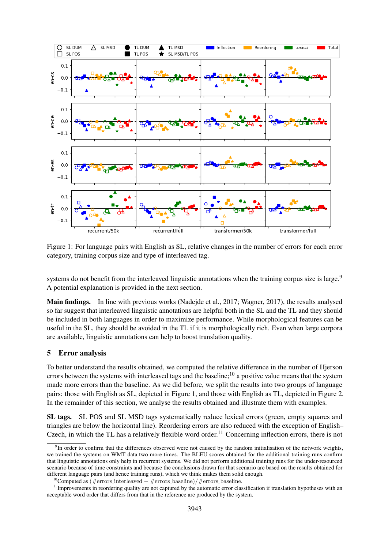

Figure 1: For language pairs with English as SL, relative changes in the number of errors for each error category, training corpus size and type of interleaved tag.

systems do not benefit from the interleaved linguistic annotations when the training corpus size is large.<sup>9</sup> A potential explanation is provided in the next section.

Main findings. In line with previous works (Nadejde et al., 2017; Wagner, 2017), the results analysed so far suggest that interleaved linguistic annotations are helpful both in the SL and the TL and they should be included in both languages in order to maximize performance. While morphological features can be useful in the SL, they should be avoided in the TL if it is morphologically rich. Even when large corpora are available, linguistic annotations can help to boost translation quality.

## 5 Error analysis

To better understand the results obtained, we computed the relative difference in the number of Hjerson errors between the systems with interleaved tags and the baseline;<sup>10</sup> a positive value means that the system made more errors than the baseline. As we did before, we split the results into two groups of language pairs: those with English as SL, depicted in Figure 1, and those with English as TL, depicted in Figure 2. In the remainder of this section, we analyse the results obtained and illustrate them with examples.

SL tags. SL POS and SL MSD tags systematically reduce lexical errors (green, empty squares and triangles are below the horizontal line). Reordering errors are also reduced with the exception of English– Czech, in which the TL has a relatively flexible word order.<sup>11</sup> Concerning inflection errors, there is not

<sup>&</sup>lt;sup>9</sup>In order to confirm that the differences observed were not caused by the random initialisation of the network weights, we trained the systems on WMT data two more times. The BLEU scores obtained for the additional training runs confirm that linguistic annotations only help in recurrent systems. We did not perform additional training runs for the under-resourced scenario because of time constraints and because the conclusions drawn for that scenario are based on the results obtained for different language pairs (and hence training runs), which we think makes them solid enough.

<sup>10</sup>Computed as (#errors interleaved − #errors baseline)/#errors baseline.

 $11$  Improvements in reordering quality are not captured by the automatic error classification if translation hypotheses with an acceptable word order that differs from that in the reference are produced by the system.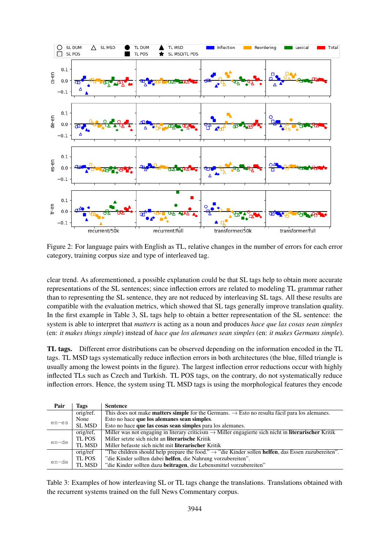

Figure 2: For language pairs with English as TL, relative changes in the number of errors for each error category, training corpus size and type of interleaved tag.

clear trend. As aforementioned, a possible explanation could be that SL tags help to obtain more accurate representations of the SL sentences; since inflection errors are related to modeling TL grammar rather than to representing the SL sentence, they are not reduced by interleaving SL tags. All these results are compatible with the evaluation metrics, which showed that SL tags generally improve translation quality. In the first example in Table 3, SL tags help to obtain a better representation of the SL sentence: the system is able to interpret that *matters* is acting as a noun and produces *hace que las cosas sean simples* (en: *it makes things simple*) instead of *hace que los alemanes sean simples* (en: *it makes Germans simple*).

TL tags. Different error distributions can be observed depending on the information encoded in the TL tags. TL MSD tags systematically reduce inflection errors in both architectures (the blue, filled triangle is usually among the lowest points in the figure). The largest inflection error reductions occur with highly inflected TLs such as Czech and Turkish. TL POS tags, on the contrary, do not systematically reduce inflection errors. Hence, the system using TL MSD tags is using the morphological features they encode

| Pair    | Tags          | <b>Sentence</b>                                                                                                         |
|---------|---------------|-------------------------------------------------------------------------------------------------------------------------|
|         | orig/ref.     | This does not make <b>matters simple</b> for the Germans. $\rightarrow$ Esto no resulta fácil para los alemanes.        |
| $en-es$ | None          | Esto no hace que los alemanes sean simples.                                                                             |
|         | <b>SL MSD</b> | Esto no hace que las cosas sean simples para los alemanes.                                                              |
|         | orig/ref.     | Miller was not engaging in literary criticism $\rightarrow$ Miller engagierte sich nicht in <b>literarischer</b> Kritik |
| en-de   | TL POS        | Miller setzte sich nicht an literarische Kritik                                                                         |
|         | TL MSD        | Miller befasste sich nicht mit literarischer Kritik                                                                     |
|         | orig/ref      | "The children should help prepare the food." $\rightarrow$ "die Kinder sollen <b>helfen</b> , das Essen zuzubereiten".  |
| en-de   | TL POS        | "die Kinder sollten dabei helfen, die Nahrung vorzubereiten".                                                           |
|         | TL MSD        | "die Kinder sollten dazu beitragen, die Lebensmittel vorzubereiten"                                                     |

Table 3: Examples of how interleaving SL or TL tags change the translations. Translations obtained with the recurrent systems trained on the full News Commentary corpus.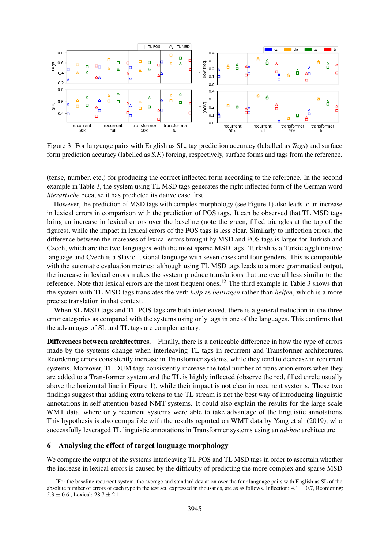

Figure 3: For language pairs with English as SL, tag prediction accuracy (labelled as *Tags*) and surface form prediction accuracy (labelled as *S.F.*) forcing, respectively, surface forms and tags from the reference.

(tense, number, etc.) for producing the correct inflected form according to the reference. In the second example in Table 3, the system using TL MSD tags generates the right inflected form of the German word *literarische* because it has predicted its dative case first.

However, the prediction of MSD tags with complex morphology (see Figure 1) also leads to an increase in lexical errors in comparison with the prediction of POS tags. It can be observed that TL MSD tags bring an increase in lexical errors over the baseline (note the green, filled triangles at the top of the figures), while the impact in lexical errors of the POS tags is less clear. Similarly to inflection errors, the difference between the increases of lexical errors brought by MSD and POS tags is larger for Turkish and Czech, which are the two languages with the most sparse MSD tags. Turkish is a Turkic agglutinative language and Czech is a Slavic fusional language with seven cases and four genders. This is compatible with the automatic evaluation metrics: although using TL MSD tags leads to a more grammatical output, the increase in lexical errors makes the system produce translations that are overall less similar to the reference. Note that lexical errors are the most frequent ones.<sup>12</sup> The third example in Table 3 shows that the system with TL MSD tags translates the verb *help* as *beitragen* rather than *helfen*, which is a more precise translation in that context.

When SL MSD tags and TL POS tags are both interleaved, there is a general reduction in the three error categories as compared with the systems using only tags in one of the languages. This confirms that the advantages of SL and TL tags are complementary.

Differences between architectures. Finally, there is a noticeable difference in how the type of errors made by the systems change when interleaving TL tags in recurrent and Transformer architectures. Reordering errors consistently increase in Transformer systems, while they tend to decrease in recurrent systems. Moreover, TL DUM tags consistently increase the total number of translation errors when they are added to a Transformer system and the TL is highly inflected (observe the red, filled circle usually above the horizontal line in Figure 1), while their impact is not clear in recurrent systems. These two findings suggest that adding extra tokens to the TL stream is not the best way of introducing linguistic annotations in self-attention-based NMT systems. It could also explain the results for the large-scale WMT data, where only recurrent systems were able to take advantage of the linguistic annotations. This hypothesis is also compatible with the results reported on WMT data by Yang et al. (2019), who successfully leveraged TL linguistic annotations in Transformer systems using an *ad-hoc* architecture.

## 6 Analysing the effect of target language morphology

We compare the output of the systems interleaving TL POS and TL MSD tags in order to ascertain whether the increase in lexical errors is caused by the difficulty of predicting the more complex and sparse MSD

 $12$ For the baseline recurrent system, the average and standard deviation over the four language pairs with English as SL of the absolute number of errors of each type in the test set, expressed in thousands, are as as follows. Inflection:  $4.1 \pm 0.7$ , Reordering:  $5.3 \pm 0.6$ , Lexical:  $28.7 \pm 2.1$ .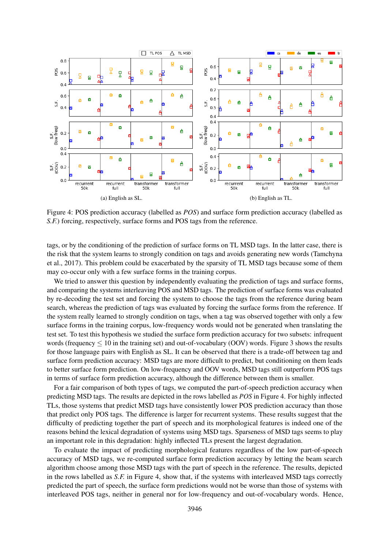

Figure 4: POS prediction accuracy (labelled as *POS*) and surface form prediction accuracy (labelled as *S.F.*) forcing, respectively, surface forms and POS tags from the reference.

tags, or by the conditioning of the prediction of surface forms on TL MSD tags. In the latter case, there is the risk that the system learns to strongly condition on tags and avoids generating new words (Tamchyna et al., 2017). This problem could be exacerbated by the sparsity of TL MSD tags because some of them may co-occur only with a few surface forms in the training corpus.

We tried to answer this question by independently evaluating the prediction of tags and surface forms, and comparing the systems interleaving POS and MSD tags. The prediction of surface forms was evaluated by re-decoding the test set and forcing the system to choose the tags from the reference during beam search, whereas the prediction of tags was evaluated by forcing the surface forms from the reference. If the system really learned to strongly condition on tags, when a tag was observed together with only a few surface forms in the training corpus, low-frequency words would not be generated when translating the test set. To test this hypothesis we studied the surface form prediction accuracy for two subsets: infrequent words (frequency  $\leq 10$  in the training set) and out-of-vocabulary (OOV) words. Figure 3 shows the results for those language pairs with English as SL. It can be observed that there is a trade-off between tag and surface form prediction accuracy: MSD tags are more difficult to predict, but conditioning on them leads to better surface form prediction. On low-frequency and OOV words, MSD tags still outperform POS tags in terms of surface form prediction accuracy, although the difference between them is smaller.

For a fair comparison of both types of tags, we computed the part-of-speech prediction accuracy when predicting MSD tags. The results are depicted in the rows labelled as *POS* in Figure 4. For highly inflected TLs, those systems that predict MSD tags have consistently lower POS prediction accuracy than those that predict only POS tags. The difference is larger for recurrent systems. These results suggest that the difficulty of predicting together the part of speech and its morphological features is indeed one of the reasons behind the lexical degradation of systems using MSD tags. Sparseness of MSD tags seems to play an important role in this degradation: highly inflected TLs present the largest degradation.

To evaluate the impact of predicting morphological features regardless of the low part-of-speech accuracy of MSD tags, we re-computed surface form prediction accuracy by letting the beam search algorithm choose among those MSD tags with the part of speech in the reference. The results, depicted in the rows labelled as *S.F.* in Figure 4, show that, if the systems with interleaved MSD tags correctly predicted the part of speech, the surface form predictions would not be worse than those of systems with interleaved POS tags, neither in general nor for low-frequency and out-of-vocabulary words. Hence,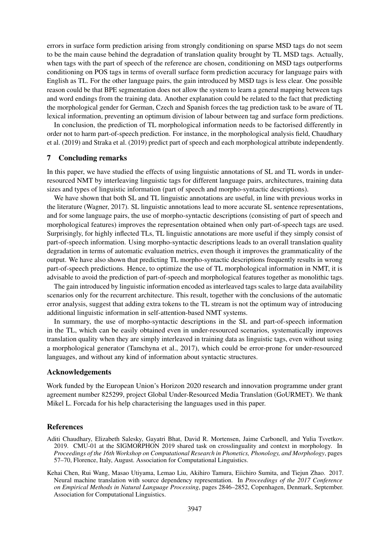errors in surface form prediction arising from strongly conditioning on sparse MSD tags do not seem to be the main cause behind the degradation of translation quality brought by TL MSD tags. Actually, when tags with the part of speech of the reference are chosen, conditioning on MSD tags outperforms conditioning on POS tags in terms of overall surface form prediction accuracy for language pairs with English as TL. For the other language pairs, the gain introduced by MSD tags is less clear. One possible reason could be that BPE segmentation does not allow the system to learn a general mapping between tags and word endings from the training data. Another explanation could be related to the fact that predicting the morphological gender for German, Czech and Spanish forces the tag prediction task to be aware of TL lexical information, preventing an optimum division of labour between tag and surface form predictions.

In conclusion, the prediction of TL morphological information needs to be factorised differently in order not to harm part-of-speech prediction. For instance, in the morphological analysis field, Chaudhary et al. (2019) and Straka et al. (2019) predict part of speech and each morphological attribute independently.

### 7 Concluding remarks

In this paper, we have studied the effects of using linguistic annotations of SL and TL words in underresourced NMT by interleaving linguistic tags for different language pairs, architectures, training data sizes and types of linguistic information (part of speech and morpho-syntactic descriptions).

We have shown that both SL and TL linguistic annotations are useful, in line with previous works in the literature (Wagner, 2017). SL linguistic annotations lead to more accurate SL sentence representations, and for some language pairs, the use of morpho-syntactic descriptions (consisting of part of speech and morphological features) improves the representation obtained when only part-of-speech tags are used. Surprisingly, for highly inflected TLs, TL linguistic annotations are more useful if they simply consist of part-of-speech information. Using morpho-syntactic descriptions leads to an overall translation quality degradation in terms of automatic evaluation metrics, even though it improves the grammaticality of the output. We have also shown that predicting TL morpho-syntactic descriptions frequently results in wrong part-of-speech predictions. Hence, to optimize the use of TL morphological information in NMT, it is advisable to avoid the prediction of part-of-speech and morphological features together as monolithic tags.

The gain introduced by linguistic information encoded as interleaved tags scales to large data availability scenarios only for the recurrent architecture. This result, together with the conclusions of the automatic error analysis, suggest that adding extra tokens to the TL stream is not the optimum way of introducing additional linguistic information in self-attention-based NMT systems.

In summary, the use of morpho-syntactic descriptions in the SL and part-of-speech information in the TL, which can be easily obtained even in under-resourced scenarios, systematically improves translation quality when they are simply interleaved in training data as linguistic tags, even without using a morphological generator (Tamchyna et al., 2017), which could be error-prone for under-resourced languages, and without any kind of information about syntactic structures.

#### Acknowledgements

Work funded by the European Union's Horizon 2020 research and innovation programme under grant agreement number 825299, project Global Under-Resourced Media Translation (GoURMET). We thank Mikel L. Forcada for his help characterising the languages used in this paper.

### References

- Aditi Chaudhary, Elizabeth Salesky, Gayatri Bhat, David R. Mortensen, Jaime Carbonell, and Yulia Tsvetkov. 2019. CMU-01 at the SIGMORPHON 2019 shared task on crosslinguality and context in morphology. In *Proceedings of the 16th Workshop on Computational Research in Phonetics, Phonology, and Morphology*, pages 57–70, Florence, Italy, August. Association for Computational Linguistics.
- Kehai Chen, Rui Wang, Masao Utiyama, Lemao Liu, Akihiro Tamura, Eiichiro Sumita, and Tiejun Zhao. 2017. Neural machine translation with source dependency representation. In *Proceedings of the 2017 Conference on Empirical Methods in Natural Language Processing*, pages 2846–2852, Copenhagen, Denmark, September. Association for Computational Linguistics.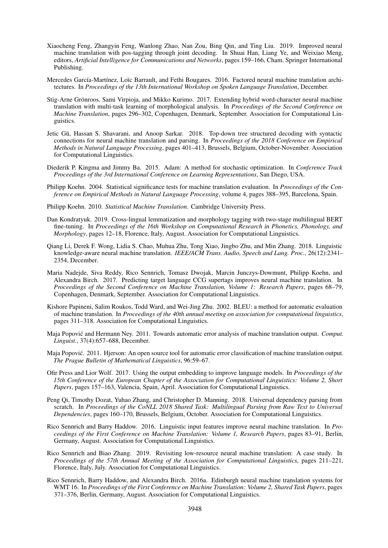- Xiaocheng Feng, Zhangyin Feng, Wanlong Zhao, Nan Zou, Bing Qin, and Ting Liu. 2019. Improved neural machine translation with pos-tagging through joint decoding. In Shuai Han, Liang Ye, and Weixiao Meng, editors, *Artificial Intelligence for Communications and Networks*, pages 159–166, Cham. Springer International Publishing.
- Mercedes García-Martínez, Loïc Barrault, and Fethi Bougares. 2016. Factored neural machine translation architectures. In *Proceedings of the 13th International Workshop on Spoken Language Translation*, December.
- Stig-Arne Grönroos, Sami Virpioja, and Mikko Kurimo. 2017. Extending hybrid word-character neural machine translation with multi-task learning of morphological analysis. In *Proceedings of the Second Conference on Machine Translation*, pages 296–302, Copenhagen, Denmark, September. Association for Computational Linguistics.
- Jetic Gū, Hassan S. Shavarani, and Anoop Sarkar. 2018. Top-down tree structured decoding with syntactic connections for neural machine translation and parsing. In *Proceedings of the 2018 Conference on Empirical Methods in Natural Language Processing*, pages 401–413, Brussels, Belgium, October-November. Association for Computational Linguistics.
- Diederik P. Kingma and Jimmy Ba. 2015. Adam: A method for stochastic optimization. In *Conference Track Proceedings of the 3rd International Conference on Learning Representations*, San Diego, USA.
- Philipp Koehn. 2004. Statistical significance tests for machine translation evaluation. In *Proceedings of the Conference on Empirical Methods in Natural Language Processing*, volume 4, pages 388–395, Barcelona, Spain.
- Philipp Koehn. 2010. *Statistical Machine Translation*. Cambridge University Press.
- Dan Kondratyuk. 2019. Cross-lingual lemmatization and morphology tagging with two-stage multilingual BERT fine-tuning. In *Proceedings of the 16th Workshop on Computational Research in Phonetics, Phonology, and Morphology*, pages 12–18, Florence, Italy, August. Association for Computational Linguistics.
- Qiang Li, Derek F. Wong, Lidia S. Chao, Muhua Zhu, Tong Xiao, Jingbo Zhu, and Min Zhang. 2018. Linguistic knowledge-aware neural machine translation. *IEEE/ACM Trans. Audio, Speech and Lang. Proc.*, 26(12):2341– 2354, December.
- Maria Nadejde, Siva Reddy, Rico Sennrich, Tomasz Dwojak, Marcin Junczys-Dowmunt, Philipp Koehn, and Alexandra Birch. 2017. Predicting target language CCG supertags improves neural machine translation. In *Proceedings of the Second Conference on Machine Translation, Volume 1: Research Papers*, pages 68–79, Copenhagen, Denmark, September. Association for Computational Linguistics.
- Kishore Papineni, Salim Roukos, Todd Ward, and Wei-Jing Zhu. 2002. BLEU: a method for automatic evaluation of machine translation. In *Proceedings of the 40th annual meeting on association for computational linguistics*, pages 311–318. Association for Computational Linguistics.
- Maja Popović and Hermann Ney. 2011. Towards automatic error analysis of machine translation output. Comput. *Linguist.*, 37(4):657–688, December.
- Maja Popovic. 2011. Hjerson: An open source tool for automatic error classification of machine translation output. ´ *The Prague Bulletin of Mathematical Linguistics*, 96:59–67.
- Ofir Press and Lior Wolf. 2017. Using the output embedding to improve language models. In *Proceedings of the 15th Conference of the European Chapter of the Association for Computational Linguistics: Volume 2, Short Papers*, pages 157–163, Valencia, Spain, April. Association for Computational Linguistics.
- Peng Qi, Timothy Dozat, Yuhao Zhang, and Christopher D. Manning. 2018. Universal dependency parsing from scratch. In *Proceedings of the CoNLL 2018 Shared Task: Multilingual Parsing from Raw Text to Universal Dependencies*, pages 160–170, Brussels, Belgium, October. Association for Computational Linguistics.
- Rico Sennrich and Barry Haddow. 2016. Linguistic input features improve neural machine translation. In *Proceedings of the First Conference on Machine Translation: Volume 1, Research Papers*, pages 83–91, Berlin, Germany, August. Association for Computational Linguistics.
- Rico Sennrich and Biao Zhang. 2019. Revisiting low-resource neural machine translation: A case study. In *Proceedings of the 57th Annual Meeting of the Association for Computational Linguistics*, pages 211–221, Florence, Italy, July. Association for Computational Linguistics.
- Rico Sennrich, Barry Haddow, and Alexandra Birch. 2016a. Edinburgh neural machine translation systems for WMT 16. In *Proceedings of the First Conference on Machine Translation: Volume 2, Shared Task Papers*, pages 371–376, Berlin, Germany, August. Association for Computational Linguistics.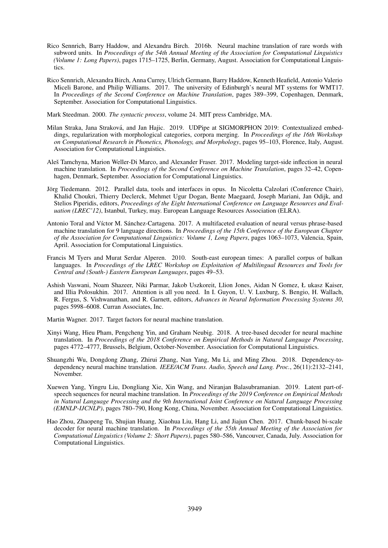- Rico Sennrich, Barry Haddow, and Alexandra Birch. 2016b. Neural machine translation of rare words with subword units. In *Proceedings of the 54th Annual Meeting of the Association for Computational Linguistics (Volume 1: Long Papers)*, pages 1715–1725, Berlin, Germany, August. Association for Computational Linguistics.
- Rico Sennrich, Alexandra Birch, Anna Currey, Ulrich Germann, Barry Haddow, Kenneth Heafield, Antonio Valerio Miceli Barone, and Philip Williams. 2017. The university of Edinburgh's neural MT systems for WMT17. In *Proceedings of the Second Conference on Machine Translation*, pages 389–399, Copenhagen, Denmark, September. Association for Computational Linguistics.

Mark Steedman. 2000. *The syntactic process*, volume 24. MIT press Cambridge, MA.

- Milan Straka, Jana Straková, and Jan Hajic. 2019. UDPipe at SIGMORPHON 2019: Contextualized embeddings, regularization with morphological categories, corpora merging. In *Proceedings of the 16th Workshop on Computational Research in Phonetics, Phonology, and Morphology*, pages 95–103, Florence, Italy, August. Association for Computational Linguistics.
- Aleš Tamchyna, Marion Weller-Di Marco, and Alexander Fraser. 2017. Modeling target-side inflection in neural machine translation. In *Proceedings of the Second Conference on Machine Translation*, pages 32–42, Copenhagen, Denmark, September. Association for Computational Linguistics.
- Jörg Tiedemann. 2012. Parallel data, tools and interfaces in opus. In Nicoletta Calzolari (Conference Chair), Khalid Choukri, Thierry Declerck, Mehmet Ugur Dogan, Bente Maegaard, Joseph Mariani, Jan Odijk, and Stelios Piperidis, editors, *Proceedings of the Eight International Conference on Language Resources and Evaluation (LREC'12)*, Istanbul, Turkey, may. European Language Resources Association (ELRA).
- Antonio Toral and Víctor M. Sánchez-Cartagena. 2017. A multifaceted evaluation of neural versus phrase-based machine translation for 9 language directions. In *Proceedings of the 15th Conference of the European Chapter of the Association for Computational Linguistics: Volume 1, Long Papers*, pages 1063–1073, Valencia, Spain, April. Association for Computational Linguistics.
- Francis M Tyers and Murat Serdar Alperen. 2010. South-east european times: A parallel corpus of balkan languages. In *Proceedings of the LREC Workshop on Exploitation of Multilingual Resources and Tools for Central and (South-) Eastern European Languages*, pages 49–53.
- Ashish Vaswani, Noam Shazeer, Niki Parmar, Jakob Uszkoreit, Llion Jones, Aidan N Gomez, Ł ukasz Kaiser, and Illia Polosukhin. 2017. Attention is all you need. In I. Guyon, U. V. Luxburg, S. Bengio, H. Wallach, R. Fergus, S. Vishwanathan, and R. Garnett, editors, *Advances in Neural Information Processing Systems 30*, pages 5998–6008. Curran Associates, Inc.

Martin Wagner. 2017. Target factors for neural machine translation.

- Xinyi Wang, Hieu Pham, Pengcheng Yin, and Graham Neubig. 2018. A tree-based decoder for neural machine translation. In *Proceedings of the 2018 Conference on Empirical Methods in Natural Language Processing*, pages 4772–4777, Brussels, Belgium, October-November. Association for Computational Linguistics.
- Shuangzhi Wu, Dongdong Zhang, Zhirui Zhang, Nan Yang, Mu Li, and Ming Zhou. 2018. Dependency-todependency neural machine translation. *IEEE/ACM Trans. Audio, Speech and Lang. Proc.*, 26(11):2132–2141, November.
- Xuewen Yang, Yingru Liu, Dongliang Xie, Xin Wang, and Niranjan Balasubramanian. 2019. Latent part-ofspeech sequences for neural machine translation. In *Proceedings of the 2019 Conference on Empirical Methods in Natural Language Processing and the 9th International Joint Conference on Natural Language Processing (EMNLP-IJCNLP)*, pages 780–790, Hong Kong, China, November. Association for Computational Linguistics.
- Hao Zhou, Zhaopeng Tu, Shujian Huang, Xiaohua Liu, Hang Li, and Jiajun Chen. 2017. Chunk-based bi-scale decoder for neural machine translation. In *Proceedings of the 55th Annual Meeting of the Association for Computational Linguistics (Volume 2: Short Papers)*, pages 580–586, Vancouver, Canada, July. Association for Computational Linguistics.